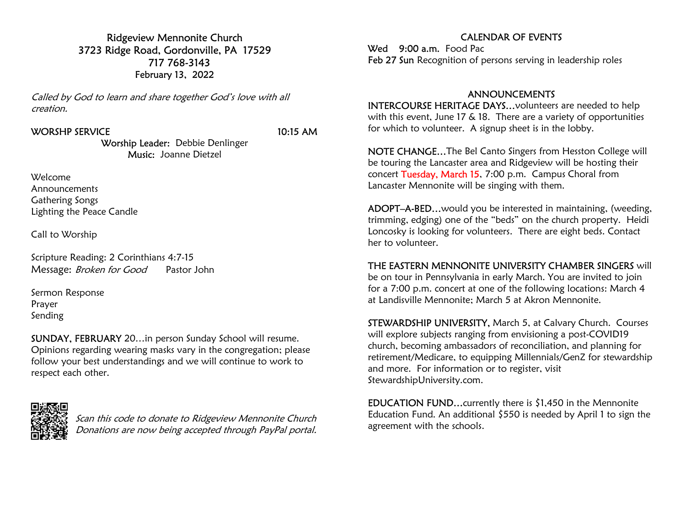Ridgeview Mennonite Church 3723 Ridge Road, Gordonville, PA 17529 717 768-3143 February 13, 2022

Called by God to learn and share together God's love with all creation.

#### WORSHP SERVICE 10:15 AM

Worship Leader: Debbie Denlinger Music: Joanne Dietzel

Welcome Announcements Gathering Songs Lighting the Peace Candle

Call to Worship

Scripture Reading: 2 Corinthians 4:7-15 Message: Broken for Good Pastor John

Sermon Response Prayer Sending

SUNDAY, FEBRUARY 20…in person Sunday School will resume. Opinions regarding wearing masks vary in the congregation; please follow your best understandings and we will continue to work to respect each other.



Scan this code to donate to Ridgeview Mennonite Church Donations are now being accepted through PayPal portal.

### CALENDAR OF EVENTS

Wed 9:00 a.m. Food Pac Feb 27 Sun Recognition of persons serving in leadership roles

#### ANNOUNCEMENTS

INTERCOURSE HERITAGE DAYS…volunteers are needed to help with this event, June 17 & 18. There are a variety of opportunities for which to volunteer. A signup sheet is in the lobby.

NOTE CHANGE…The Bel Canto Singers from Hesston College will be touring the Lancaster area and Ridgeview will be hosting their concert Tuesday, March 15, 7:00 p.m. Campus Choral from Lancaster Mennonite will be singing with them.

ADOPT–A-BED…would you be interested in maintaining, (weeding, trimming, edging) one of the "beds" on the church property. Heidi Loncosky is looking for volunteers. There are eight beds. Contact her to volunteer.

THE EASTERN MENNONITE UNIVERSITY CHAMBER SINGERS will be on tour in Pennsylvania in early March. You are invited to join for a 7:00 p.m. concert at one of the following locations: March 4 at Landisville Mennonite; March 5 at Akron Mennonite.

STEWARDSHIP UNIVERSITY, March 5, at Calvary Church. Courses will explore subjects ranging from envisioning a post-COVID19 church, becoming ambassadors of reconciliation, and planning for retirement/Medicare, to equipping Millennials/GenZ for stewardship and more. For information or to register, visit StewardshipUniversity.com.

EDUCATION FUND…currently there is \$1,450 in the Mennonite Education Fund. An additional \$550 is needed by April 1 to sign the agreement with the schools.